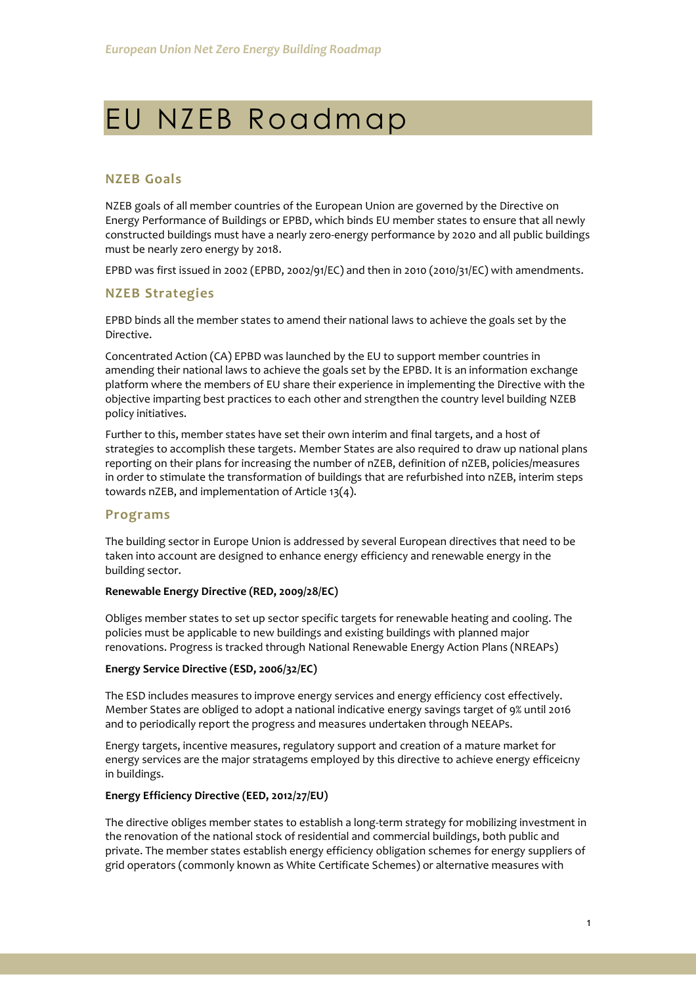# EU NZEB Roadmap

# **NZEB Goals**

NZEB goals of all member countries of the European Union are governed by the Directive on Energy Performance of Buildings or EPBD, which binds EU member states to ensure that all newly constructed buildings must have a nearly zero-energy performance by 2020 and all public buildings must be nearly zero energy by 2018.

EPBD was first issued in 2002 (EPBD, 2002/91/EC) and then in 2010 (2010/31/EC) with amendments.

#### **NZEB Strategies**

EPBD binds all the member states to amend their national laws to achieve the goals set by the Directive.

Concentrated Action (CA) EPBD was launched by the EU to support member countries in amending their national laws to achieve the goals set by the EPBD. It is an information exchange platform where the members of EU share their experience in implementing the Directive with the objective imparting best practices to each other and strengthen the country level building NZEB policy initiatives.

Further to this, member states have set their own interim and final targets, and a host of strategies to accomplish these targets. Member States are also required to draw up national plans reporting on their plans for increasing the number of nZEB, definition of nZEB, policies/measures in order to stimulate the transformation of buildings that are refurbished into nZEB, interim steps towards nZEB, and implementation of Article 13(4).

#### **Programs**

The building sector in Europe Union is addressed by several European directives that need to be taken into account are designed to enhance energy efficiency and renewable energy in the building sector.

#### **Renewable Energy Directive (RED, 2009/28/EC)**

Obliges member states to set up sector specific targets for renewable heating and cooling. The policies must be applicable to new buildings and existing buildings with planned major renovations. Progress is tracked through National Renewable Energy Action Plans (NREAPs)

#### **Energy Service Directive (ESD, 2006/32/EC)**

The ESD includes measures to improve energy services and energy efficiency cost effectively. Member States are obliged to adopt a national indicative energy savings target of 9% until 2016 and to periodically report the progress and measures undertaken through NEEAPs.

Energy targets, incentive measures, regulatory support and creation of a mature market for energy services are the major stratagems employed by this directive to achieve energy efficeicny in buildings.

#### **Energy Efficiency Directive (EED, 2012/27/EU)**

The directive obliges member states to establish a long-term strategy for mobilizing investment in the renovation of the national stock of residential and commercial buildings, both public and private. The member states establish energy efficiency obligation schemes for energy suppliers of grid operators (commonly known as White Certificate Schemes) or alternative measures with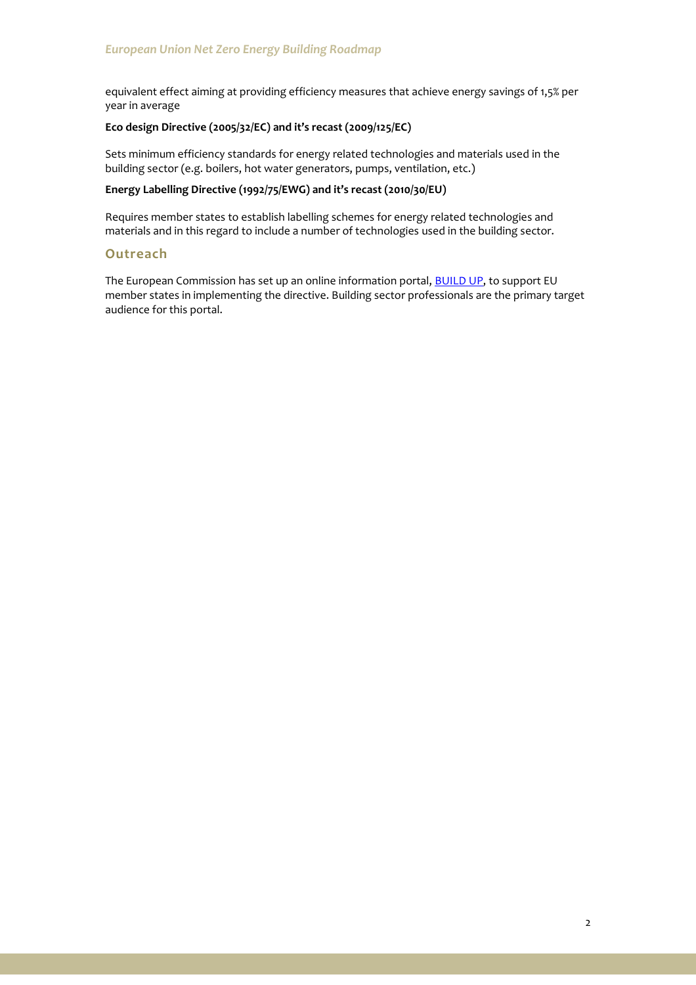equivalent effect aiming at providing efficiency measures that achieve energy savings of 1,5% per year in average

## **Eco design Directive (2005/32/EC) and it's recast (2009/125/EC)**

Sets minimum efficiency standards for energy related technologies and materials used in the building sector (e.g. boilers, hot water generators, pumps, ventilation, etc.)

## **Energy Labelling Directive (1992/75/EWG) and it's recast (2010/30/EU)**

Requires member states to establish labelling schemes for energy related technologies and materials and in this regard to include a number of technologies used in the building sector.

# **Outreach**

The European Commission has set up an online information portal, **BUILD UP**, to support EU member states in implementing the directive. Building sector professionals are the primary target audience for this portal.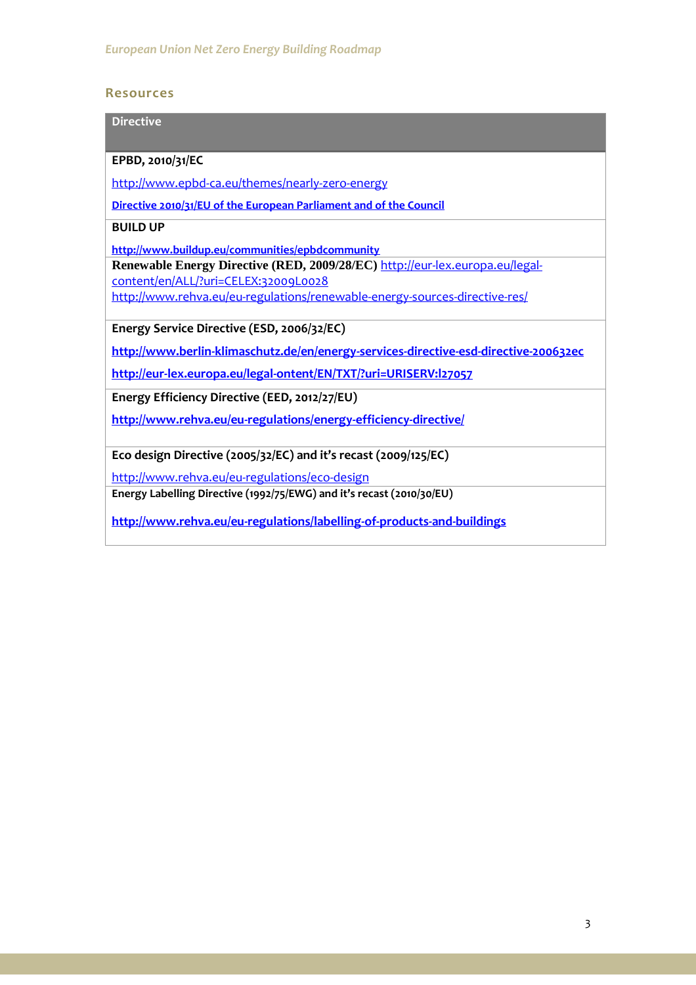# **Resources**

| <b>Directive</b>                                                                     |
|--------------------------------------------------------------------------------------|
|                                                                                      |
| EPBD, 2010/31/EC                                                                     |
| http://www.epbd-ca.eu/themes/nearly-zero-energy                                      |
| Directive 2010/31/EU of the European Parliament and of the Council                   |
| <b>BUILD UP</b>                                                                      |
| http://www.buildup.eu/communities/epbdcommunity                                      |
| Renewable Energy Directive (RED, 2009/28/EC) http://eur-lex.europa.eu/legal-         |
| content/en/ALL/?uri=CELEX:32009L0028                                                 |
| http://www.rehva.eu/eu-regulations/renewable-energy-sources-directive-res/           |
|                                                                                      |
| Energy Service Directive (ESD, 2006/32/EC)                                           |
| http://www.berlin-klimaschutz.de/en/energy-services-directive-esd-directive-200632ec |
| http://eur-lex.europa.eu/legal-ontent/EN/TXT/?uri=URISERV:l27057                     |
| Energy Efficiency Directive (EED, 2012/27/EU)                                        |
| http://www.rehva.eu/eu-regulations/energy-efficiency-directive/                      |
|                                                                                      |
| Eco design Directive (2005/32/EC) and it's recast (2009/125/EC)                      |
| http://www.rehva.eu/eu-regulations/eco-design                                        |
| Energy Labelling Directive (1992/75/EWG) and it's recast (2010/30/EU)                |
| http://www.rehva.eu/eu-regulations/labelling-of-products-and-buildings               |